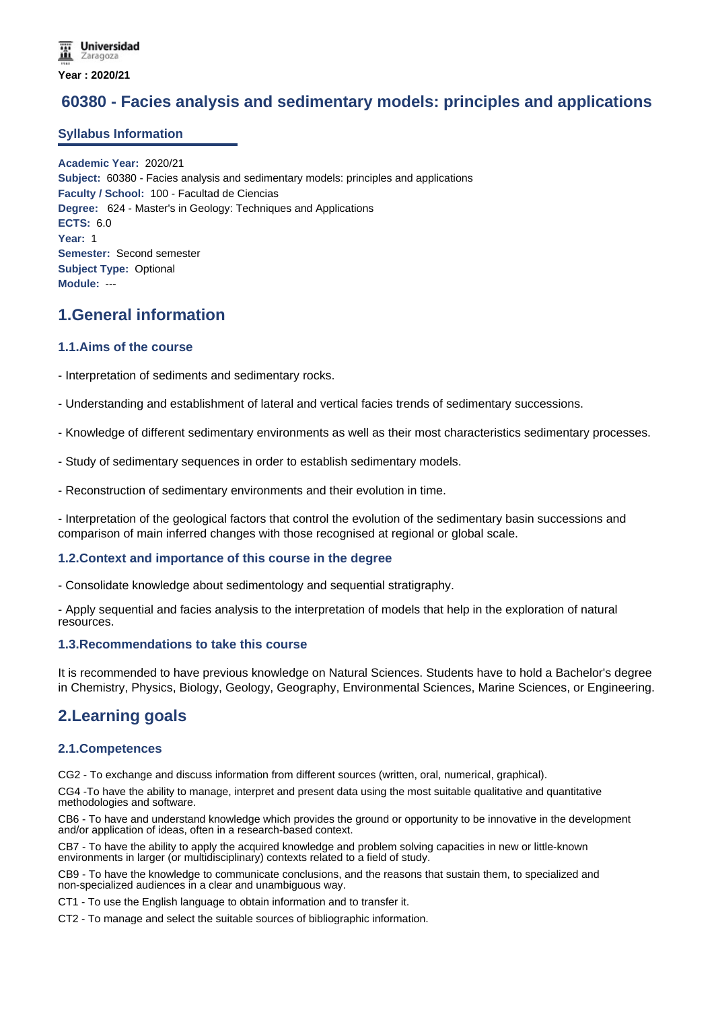# **60380 - Facies analysis and sedimentary models: principles and applications**

### **Syllabus Information**

**Academic Year:** 2020/21 **Subject:** 60380 - Facies analysis and sedimentary models: principles and applications **Faculty / School:** 100 - Facultad de Ciencias **Degree:** 624 - Master's in Geology: Techniques and Applications **ECTS:** 6.0 **Year:** 1 **Semester:** Second semester **Subject Type:** Optional **Module:** ---

# **1.General information**

### **1.1.Aims of the course**

- Interpretation of sediments and sedimentary rocks.

- Understanding and establishment of lateral and vertical facies trends of sedimentary successions.

- Knowledge of different sedimentary environments as well as their most characteristics sedimentary processes.

- Study of sedimentary sequences in order to establish sedimentary models.

- Reconstruction of sedimentary environments and their evolution in time.

- Interpretation of the geological factors that control the evolution of the sedimentary basin successions and comparison of main inferred changes with those recognised at regional or global scale.

### **1.2.Context and importance of this course in the degree**

- Consolidate knowledge about sedimentology and sequential stratigraphy.

- Apply sequential and facies analysis to the interpretation of models that help in the exploration of natural resources.

### **1.3.Recommendations to take this course**

It is recommended to have previous knowledge on Natural Sciences. Students have to hold a Bachelor's degree in Chemistry, Physics, Biology, Geology, Geography, Environmental Sciences, Marine Sciences, or Engineering.

### **2.Learning goals**

### **2.1.Competences**

CG2 - To exchange and discuss information from different sources (written, oral, numerical, graphical).

CG4 -To have the ability to manage, interpret and present data using the most suitable qualitative and quantitative methodologies and software.

CB6 - To have and understand knowledge which provides the ground or opportunity to be innovative in the development and/or application of ideas, often in a research-based context.

CB7 - To have the ability to apply the acquired knowledge and problem solving capacities in new or little-known environments in larger (or multidisciplinary) contexts related to a field of study.

CB9 - To have the knowledge to communicate conclusions, and the reasons that sustain them, to specialized and non-specialized audiences in a clear and unambiguous way.

CT1 - To use the English language to obtain information and to transfer it.

CT2 - To manage and select the suitable sources of bibliographic information.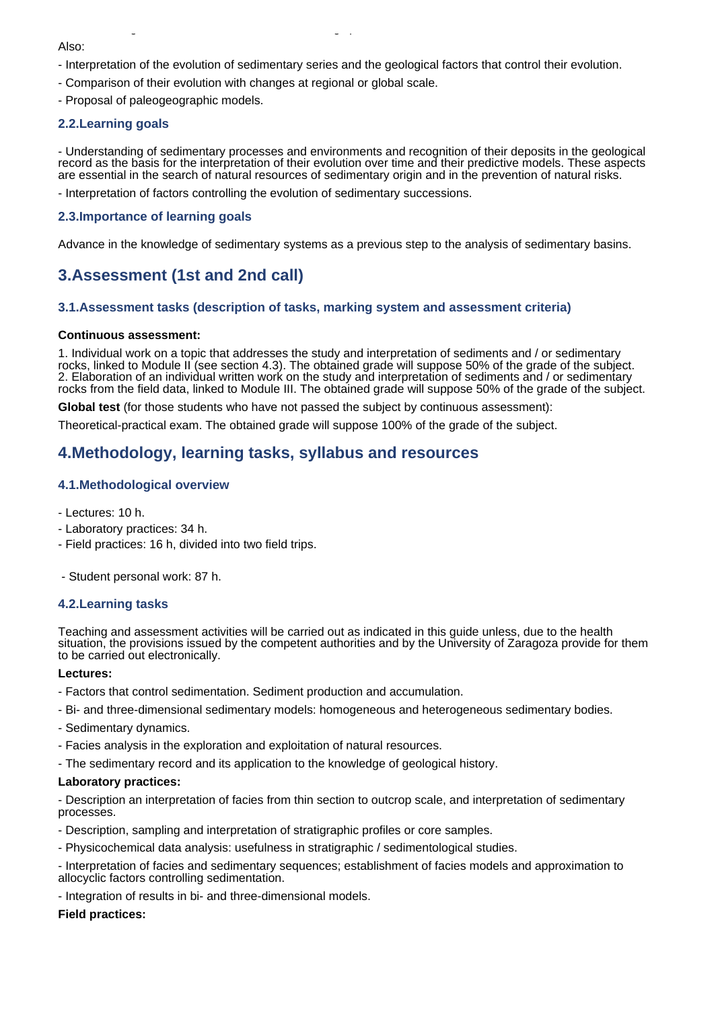- Interpretation of the evolution of sedimentary series and the geological factors that control their evolution.
- Comparison of their evolution with changes at regional or global scale.

CT2 - To manage and select the suitable sources of bibliographic information.

- Proposal of paleogeographic models.

### **2.2.Learning goals**

- Understanding of sedimentary processes and environments and recognition of their deposits in the geological record as the basis for the interpretation of their evolution over time and their predictive models. These aspects are essential in the search of natural resources of sedimentary origin and in the prevention of natural risks.

- Interpretation of factors controlling the evolution of sedimentary successions.

### **2.3.Importance of learning goals**

Advance in the knowledge of sedimentary systems as a previous step to the analysis of sedimentary basins.

# **3.Assessment (1st and 2nd call)**

### **3.1.Assessment tasks (description of tasks, marking system and assessment criteria)**

#### **Continuous assessment:**

1. Individual work on a topic that addresses the study and interpretation of sediments and / or sedimentary rocks, linked to Module II (see section 4.3). The obtained grade will suppose 50% of the grade of the subject. 2. Elaboration of an individual written work on the study and interpretation of sediments and / or sedimentary rocks from the field data, linked to Module III. The obtained grade will suppose 50% of the grade of the subject.

**Global test** (for those students who have not passed the subject by continuous assessment):

Theoretical-practical exam. The obtained grade will suppose 100% of the grade of the subject.

# **4.Methodology, learning tasks, syllabus and resources**

### **4.1.Methodological overview**

- Lectures: 10 h.
- Laboratory practices: 34 h.
- Field practices: 16 h, divided into two field trips.

- Student personal work: 87 h.

### **4.2.Learning tasks**

Teaching and assessment activities will be carried out as indicated in this guide unless, due to the health situation, the provisions issued by the competent authorities and by the University of Zaragoza provide for them to be carried out electronically.

#### **Lectures:**

- Factors that control sedimentation. Sediment production and accumulation.
- Bi- and three-dimensional sedimentary models: homogeneous and heterogeneous sedimentary bodies.
- Sedimentary dynamics.
- Facies analysis in the exploration and exploitation of natural resources.
- The sedimentary record and its application to the knowledge of geological history.

#### **Laboratory practices:**

- Description an interpretation of facies from thin section to outcrop scale, and interpretation of sedimentary processes.

- Description, sampling and interpretation of stratigraphic profiles or core samples.
- Physicochemical data analysis: usefulness in stratigraphic / sedimentological studies.

- Interpretation of facies and sedimentary sequences; establishment of facies models and approximation to allocyclic factors controlling sedimentation.

- Integration of results in bi- and three-dimensional models.

### **Field practices:**